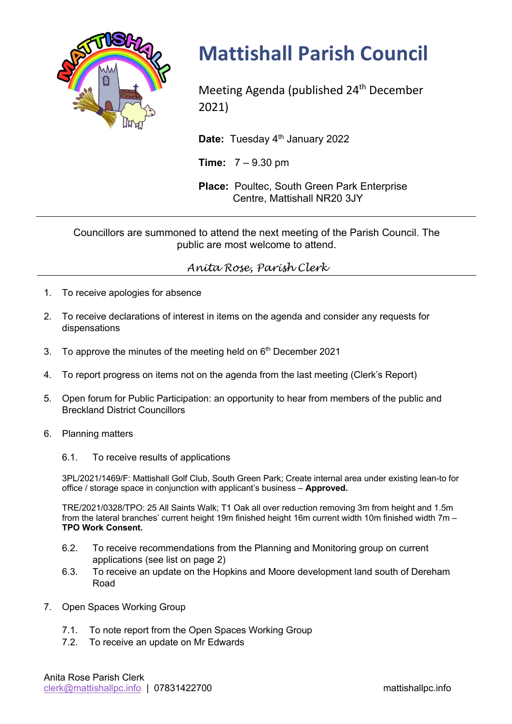

## **Mattishall Parish Council**

Meeting Agenda (published 24<sup>th</sup> December 2021)

Date: Tuesday 4<sup>th</sup> January 2022

**Time:** 7 – 9.30 pm

**Place:** Poultec, South Green Park Enterprise Centre, Mattishall NR20 3JY

Councillors are summoned to attend the next meeting of the Parish Council. The public are most welcome to attend.

## *Anita Rose, Parish Clerk*

- 1. To receive apologies for absence
- 2. To receive declarations of interest in items on the agenda and consider any requests for dispensations
- 3. To approve the minutes of the meeting held on  $6<sup>th</sup>$  December 2021
- 4. To report progress on items not on the agenda from the last meeting (Clerk's Report)
- 5. Open forum for Public Participation: an opportunity to hear from members of the public and Breckland District Councillors
- 6. Planning matters
	- 6.1. To receive results of applications

3PL/2021/1469/F: Mattishall Golf Club, South Green Park; Create internal area under existing lean-to for office / storage space in conjunction with applicant's business – **Approved.**

TRE/2021/0328/TPO: 25 All Saints Walk; T1 Oak all over reduction removing 3m from height and 1.5m from the lateral branches' current height 19m finished height 16m current width 10m finished width 7m – **TPO Work Consent.**

- 6.2. To receive recommendations from the Planning and Monitoring group on current applications (see list on page 2)
- 6.3. To receive an update on the Hopkins and Moore development land south of Dereham Road
- 7. Open Spaces Working Group
	- 7.1. To note report from the Open Spaces Working Group
	- 7.2. To receive an update on Mr Edwards